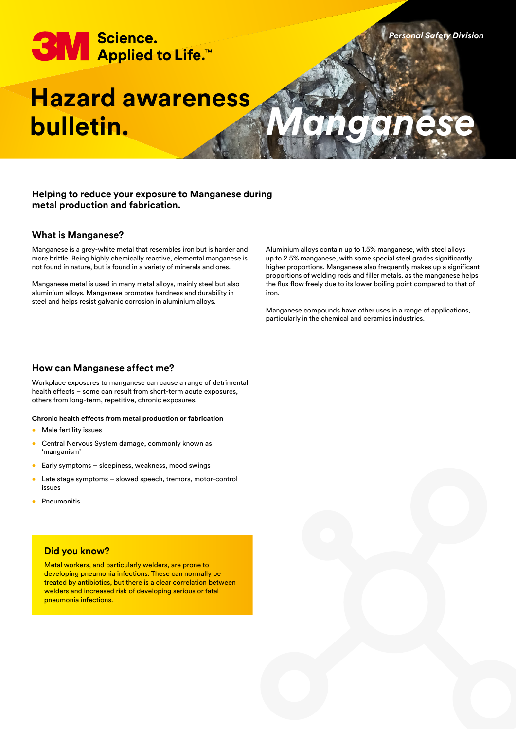# **3M** Science.<br>Applied to Life.™

# **Hazard awareness bulletin.**

# **Helping to reduce your exposure to Manganese during metal production and fabrication.**

# **What is Manganese?**

Manganese is a grey-white metal that resembles iron but is harder and more brittle. Being highly chemically reactive, elemental manganese is not found in nature, but is found in a variety of minerals and ores.

Manganese metal is used in many metal alloys, mainly steel but also aluminium alloys. Manganese promotes hardness and durability in steel and helps resist galvanic corrosion in aluminium alloys.

Aluminium alloys contain up to 1.5% manganese, with steel alloys up to 2.5% manganese, with some special steel grades significantly higher proportions. Manganese also frequently makes up a significant proportions of welding rods and filler metals, as the manganese helps the flux flow freely due to its lower boiling point compared to that of iron.

*Personal Safety Division*

*Manganese*

Manganese compounds have other uses in a range of applications, particularly in the chemical and ceramics industries.

# **How can Manganese affect me?**

Workplace exposures to manganese can cause a range of detrimental health effects – some can result from short-term acute exposures, others from long-term, repetitive, chronic exposures.

#### **Chronic health effects from metal production or fabrication**

- Male fertility issues
- Central Nervous System damage, commonly known as 'manganism'
- Early symptoms sleepiness, weakness, mood swings
- Late stage symptoms slowed speech, tremors, motor-control issues
- **Pneumonitis**

# **Did you know?**

Metal workers, and particularly welders, are prone to developing pneumonia infections. These can normally be treated by antibiotics, but there is a clear correlation between welders and increased risk of developing serious or fatal pneumonia infections.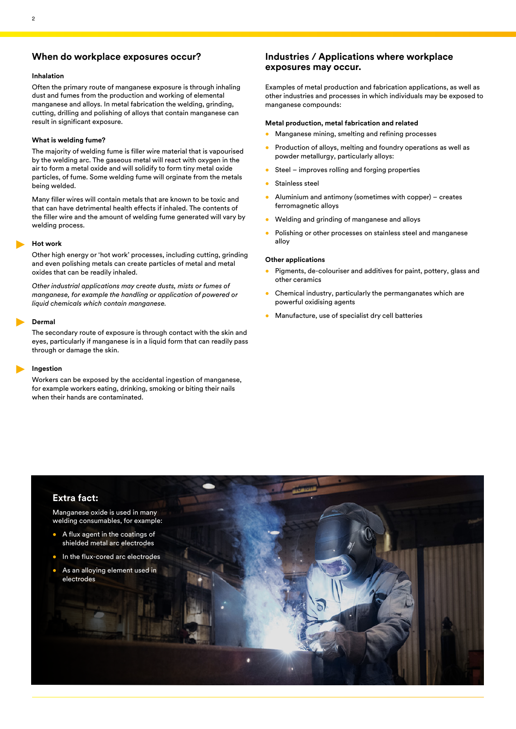# **When do workplace exposures occur?**

#### **Inhalation**

Often the primary route of manganese exposure is through inhaling dust and fumes from the production and working of elemental manganese and alloys. In metal fabrication the welding, grinding, cutting, drilling and polishing of alloys that contain manganese can result in significant exposure.

#### **What is welding fume?**

The majority of welding fume is filler wire material that is vapourised by the welding arc. The gaseous metal will react with oxygen in the air to form a metal oxide and will solidify to form tiny metal oxide particles, of fume. Some welding fume will orginate from the metals being welded.

Many filler wires will contain metals that are known to be toxic and that can have detrimental health effects if inhaled. The contents of the filler wire and the amount of welding fume generated will vary by welding process.

#### **Hot work**

Other high energy or 'hot work' processes, including cutting, grinding and even polishing metals can create particles of metal and metal oxides that can be readily inhaled.

*Other industrial applications may create dusts, mists or fumes of manganese, for example the handling or application of powered or liquid chemicals which contain manganese.*

#### **Dermal**

The secondary route of exposure is through contact with the skin and eyes, particularly if manganese is in a liquid form that can readily pass through or damage the skin.

#### **Ingestion**

Workers can be exposed by the accidental ingestion of manganese, for example workers eating, drinking, smoking or biting their nails when their hands are contaminated.

# **Industries / Applications where workplace exposures may occur.**

Examples of metal production and fabrication applications, as well as other industries and processes in which individuals may be exposed to manganese compounds:

#### **Metal production, metal fabrication and related**

- Manganese mining, smelting and refining processes
- Production of alloys, melting and foundry operations as well as powder metallurgy, particularly alloys:
- Steel improves rolling and forging properties
- Stainless steel
- Aluminium and antimony (sometimes with copper) creates ferromagnetic alloys
- Welding and grinding of manganese and alloys
- Polishing or other processes on stainless steel and manganese alloy

#### **Other applications**

- Pigments, de-colouriser and additives for paint, pottery, glass and other ceramics
- Chemical industry, particularly the permanganates which are powerful oxidising agents
- Manufacture, use of specialist dry cell batteries

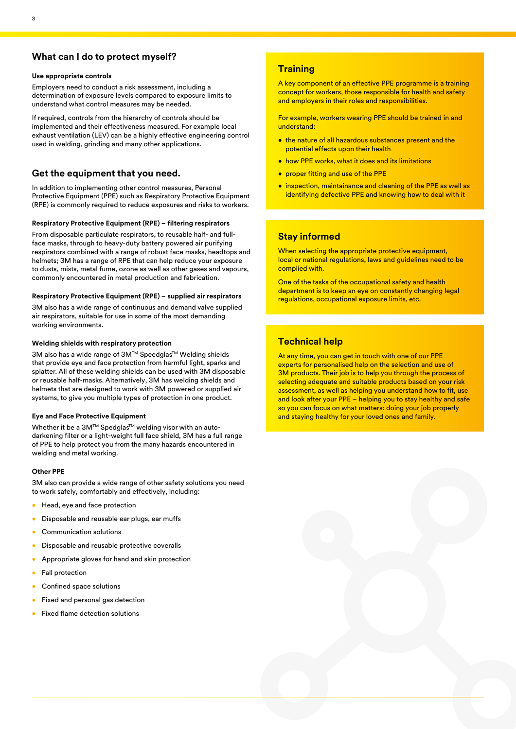# **What can I do to protect myself?**

#### **Use appropriate controls**

Employers need to conduct a risk assessment, including a determination of exposure levels compared to exposure limits to understand what control measures may be needed.

If required, controls from the hierarchy of controls should be implemented and their effectiveness measured. For example local exhaust ventilation (LEV) can be a highly effective engineering control used in welding, grinding and many other applications.

# **Get the equipment that you need.**

In addition to implementing other control measures, Personal Protective Equipment (PPE) such as Respiratory Protective Equipment (RPE) is commonly required to reduce exposures and risks to workers.

#### **Respiratory Protective Equipment (RPE) – filtering respirators**

From disposable particulate respirators, to reusable half- and fullface masks, through to heavy-duty battery powered air purifying respirators combined with a range of robust face masks, headtops and helmets; 3M has a range of RPE that can help reduce your exposure to dusts, mists, metal fume, ozone as well as other gases and vapours, commonly encountered in metal production and fabrication.

#### **Respiratory Protective Equipment (RPE) – supplied air respirators**

3M also has a wide range of continuous and demand valve supplied air respirators, suitable for use in some of the most demanding working environments.

#### **Welding shields with respiratory protection**

3M also has a wide range of 3M™ Speedglas™ Welding shields that provide eye and face protection from harmful light, sparks and splatter. All of these welding shields can be used with 3M disposable or reusable half-masks. Alternatively, 3M has welding shields and helmets that are designed to work with 3M powered or supplied air systems, to give you multiple types of protection in one product.

#### **Eye and Face Protective Equipment**

Whether it be a 3M™ Spedglas<sup>™</sup> welding visor with an autodarkening filter or a light-weight full face shield, 3M has a full range of PPE to help protect you from the many hazards encountered in welding and metal working.

#### **Other PPE**

3M also can provide a wide range of other safety solutions you need to work safely, comfortably and effectively, including:

- Head, eye and face protection
- Disposable and reusable ear plugs, ear muffs
- Communication solutions
- Disposable and reusable protective coveralls
- Appropriate gloves for hand and skin protection
- Fall protection
- Confined space solutions
- Fixed and personal gas detection
- Fixed flame detection solutions

# **Training**

A key component of an effective PPE programme is a training concept for workers, those responsible for health and safety and employers in their roles and responsibilities.

For example, workers wearing PPE should be trained in and understand:

- the nature of all hazardous substances present and the potential effects upon their health
- how PPE works, what it does and its limitations
- proper fitting and use of the PPE
- inspection, maintainance and cleaning of the PPE as well as identifying defective PPE and knowing how to deal with it

### **Stay informed**

When selecting the appropriate protective equipment, local or national regulations, laws and guidelines need to be complied with.

One of the tasks of the occupational safety and health department is to keep an eye on constantly changing legal regulations, occupational exposure limits, etc.

# **Technical help**

At any time, you can get in touch with one of our PPE experts for personalised help on the selection and use of 3M products. Their job is to help you through the process of selecting adequate and suitable products based on your risk assessment, as well as helping you understand how to fit, use and look after your PPE – helping you to stay healthy and safe so you can focus on what matters: doing your job properly and staying healthy for your loved ones and family.